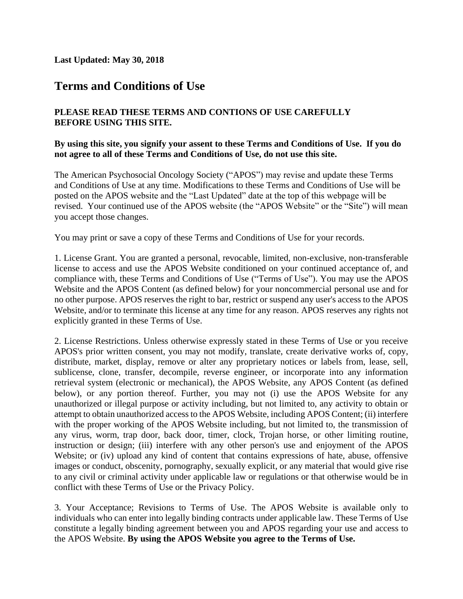**Last Updated: May 30, 2018**

## **Terms and Conditions of Use**

## **PLEASE READ THESE TERMS AND CONTIONS OF USE CAREFULLY BEFORE USING THIS SITE.**

## **By using this site, you signify your assent to these Terms and Conditions of Use. If you do not agree to all of these Terms and Conditions of Use, do not use this site.**

The American Psychosocial Oncology Society ("APOS") may revise and update these Terms and Conditions of Use at any time. Modifications to these Terms and Conditions of Use will be posted on the APOS website and the "Last Updated" date at the top of this webpage will be revised. Your continued use of the APOS website (the "APOS Website" or the "Site") will mean you accept those changes.

You may [print or save a copy](http://www.ama-assn.org/resources/doc/global/terms-of-use.pdf) of these Terms and Conditions of Use for your records.

1. License Grant. You are granted a personal, revocable, limited, non-exclusive, non-transferable license to access and use the APOS Website conditioned on your continued acceptance of, and compliance with, these Terms and Conditions of Use ("Terms of Use"). You may use the APOS Website and the APOS Content (as defined below) for your noncommercial personal use and for no other purpose. APOS reserves the right to bar, restrict or suspend any user's access to the APOS Website, and/or to terminate this license at any time for any reason. APOS reserves any rights not explicitly granted in these Terms of Use.

2. License Restrictions. Unless otherwise expressly stated in these Terms of Use or you receive APOS's prior written consent, you may not modify, translate, create derivative works of, copy, distribute, market, display, remove or alter any proprietary notices or labels from, lease, sell, sublicense, clone, transfer, decompile, reverse engineer, or incorporate into any information retrieval system (electronic or mechanical), the APOS Website, any APOS Content (as defined below), or any portion thereof. Further, you may not (i) use the APOS Website for any unauthorized or illegal purpose or activity including, but not limited to, any activity to obtain or attempt to obtain unauthorized access to the APOS Website, including APOS Content; (ii) interfere with the proper working of the APOS Website including, but not limited to, the transmission of any virus, worm, trap door, back door, timer, clock, Trojan horse, or other limiting routine, instruction or design; (iii) interfere with any other person's use and enjoyment of the APOS Website; or (iv) upload any kind of content that contains expressions of hate, abuse, offensive images or conduct, obscenity, pornography, sexually explicit, or any material that would give rise to any civil or criminal activity under applicable law or regulations or that otherwise would be in conflict with these Terms of Use or the Privacy Policy.

3. Your Acceptance; Revisions to Terms of Use. The APOS Website is available only to individuals who can enter into legally binding contracts under applicable law. These Terms of Use constitute a legally binding agreement between you and APOS regarding your use and access to the APOS Website. **By using the APOS Website you agree to the Terms of Use.**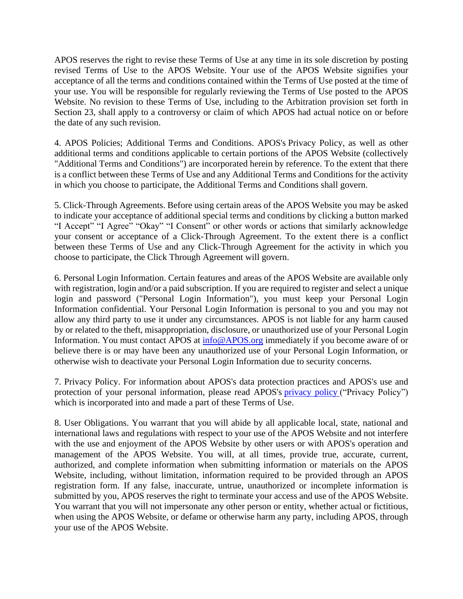APOS reserves the right to revise these Terms of Use at any time in its sole discretion by posting revised Terms of Use to the APOS Website. Your use of the APOS Website signifies your acceptance of all the terms and conditions contained within the Terms of Use posted at the time of your use. You will be responsible for regularly reviewing the Terms of Use posted to the APOS Website. No revision to these Terms of Use, including to the Arbitration provision set forth in Section 23, shall apply to a controversy or claim of which APOS had actual notice on or before the date of any such revision.

4. APOS Policies; Additional Terms and Conditions. APOS's Privacy Policy, as well as other additional terms and conditions applicable to certain portions of the APOS Website (collectively "Additional Terms and Conditions") are incorporated herein by reference. To the extent that there is a conflict between these Terms of Use and any Additional Terms and Conditions for the activity in which you choose to participate, the Additional Terms and Conditions shall govern.

5. Click-Through Agreements. Before using certain areas of the APOS Website you may be asked to indicate your acceptance of additional special terms and conditions by clicking a button marked "I Accept" "I Agree" "Okay" "I Consent" or other words or actions that similarly acknowledge your consent or acceptance of a Click-Through Agreement. To the extent there is a conflict between these Terms of Use and any Click-Through Agreement for the activity in which you choose to participate, the Click Through Agreement will govern.

6. Personal Login Information. Certain features and areas of the APOS Website are available only with registration, login and/or a paid subscription. If you are required to register and select a unique login and password ("Personal Login Information"), you must keep your Personal Login Information confidential. Your Personal Login Information is personal to you and you may not allow any third party to use it under any circumstances. APOS is not liable for any harm caused by or related to the theft, misappropriation, disclosure, or unauthorized use of your Personal Login Information. You must contact APOS at [info@APOS.org](mailto:info@ASCPP.org) immediately if you become aware of or believe there is or may have been any unauthorized use of your Personal Login Information, or otherwise wish to deactivate your Personal Login Information due to security concerns.

7. Privacy Policy. For information about APOS's data protection practices and APOS's use and protection of your personal information, please read APOS's [privacy](https://apos-society.org/about-us/privacy-policy/) policy ("Privacy Policy") which is incorporated into and made a part of these Terms of Use.

8. User Obligations. You warrant that you will abide by all applicable local, state, national and international laws and regulations with respect to your use of the APOS Website and not interfere with the use and enjoyment of the APOS Website by other users or with APOS's operation and management of the APOS Website. You will, at all times, provide true, accurate, current, authorized, and complete information when submitting information or materials on the APOS Website, including, without limitation, information required to be provided through an APOS registration form. If any false, inaccurate, untrue, unauthorized or incomplete information is submitted by you, APOS reserves the right to terminate your access and use of the APOS Website. You warrant that you will not impersonate any other person or entity, whether actual or fictitious, when using the APOS Website, or defame or otherwise harm any party, including APOS, through your use of the APOS Website.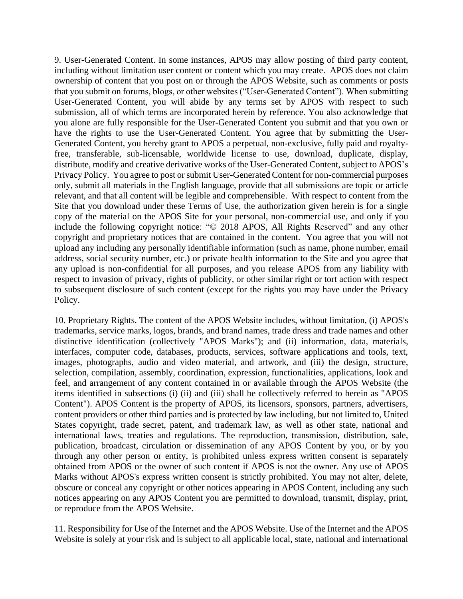9. User-Generated Content. In some instances, APOS may allow posting of third party content, including without limitation user content or content which you may create. APOS does not claim ownership of content that you post on or through the APOS Website, such as comments or posts that you submit on forums, blogs, or other websites ("User-Generated Content"). When submitting User-Generated Content, you will abide by any terms set by APOS with respect to such submission, all of which terms are incorporated herein by reference. You also acknowledge that you alone are fully responsible for the User-Generated Content you submit and that you own or have the rights to use the User-Generated Content. You agree that by submitting the User-Generated Content, you hereby grant to APOS a perpetual, non-exclusive, fully paid and royaltyfree, transferable, sub-licensable, worldwide license to use, download, duplicate, display, distribute, modify and creative derivative works of the User-Generated Content, subject to APOS's Privacy Policy. You agree to post or submit User-Generated Content for non-commercial purposes only, submit all materials in the English language, provide that all submissions are topic or article relevant, and that all content will be legible and comprehensible. With respect to content from the Site that you download under these Terms of Use, the authorization given herein is for a single copy of the material on the APOS Site for your personal, non-commercial use, and only if you include the following copyright notice: "© 2018 APOS, All Rights Reserved" and any other copyright and proprietary notices that are contained in the content. You agree that you will not upload any including any personally identifiable information (such as name, phone number, email address, social security number, etc.) or private health information to the Site and you agree that any upload is non-confidential for all purposes, and you release APOS from any liability with respect to invasion of privacy, rights of publicity, or other similar right or tort action with respect to subsequent disclosure of such content (except for the rights you may have under the Privacy Policy.

10. Proprietary Rights. The content of the APOS Website includes, without limitation, (i) APOS's trademarks, service marks, logos, brands, and brand names, trade dress and trade names and other distinctive identification (collectively "APOS Marks"); and (ii) information, data, materials, interfaces, computer code, databases, products, services, software applications and tools, text, images, photographs, audio and video material, and artwork, and (iii) the design, structure, selection, compilation, assembly, coordination, expression, functionalities, applications, look and feel, and arrangement of any content contained in or available through the APOS Website (the items identified in subsections (i) (ii) and (iii) shall be collectively referred to herein as "APOS Content"). APOS Content is the property of APOS, its licensors, sponsors, partners, advertisers, content providers or other third parties and is protected by law including, but not limited to, United States copyright, trade secret, patent, and trademark law, as well as other state, national and international laws, treaties and regulations. The reproduction, transmission, distribution, sale, publication, broadcast, circulation or dissemination of any APOS Content by you, or by you through any other person or entity, is prohibited unless express written consent is separately obtained from APOS or the owner of such content if APOS is not the owner. Any use of APOS Marks without APOS's express written consent is strictly prohibited. You may not alter, delete, obscure or conceal any copyright or other notices appearing in APOS Content, including any such notices appearing on any APOS Content you are permitted to download, transmit, display, print, or reproduce from the APOS Website.

11. Responsibility for Use of the Internet and the APOS Website. Use of the Internet and the APOS Website is solely at your risk and is subject to all applicable local, state, national and international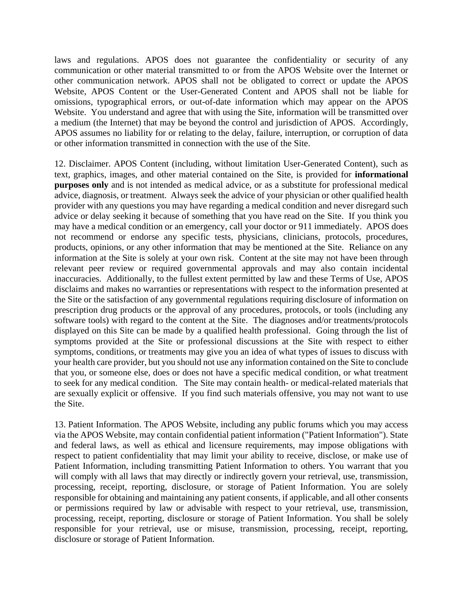laws and regulations. APOS does not guarantee the confidentiality or security of any communication or other material transmitted to or from the APOS Website over the Internet or other communication network. APOS shall not be obligated to correct or update the APOS Website, APOS Content or the User-Generated Content and APOS shall not be liable for omissions, typographical errors, or out-of-date information which may appear on the APOS Website. You understand and agree that with using the Site, information will be transmitted over a medium (the Internet) that may be beyond the control and jurisdiction of APOS. Accordingly, APOS assumes no liability for or relating to the delay, failure, interruption, or corruption of data or other information transmitted in connection with the use of the Site.

12. Disclaimer. APOS Content (including, without limitation User-Generated Content), such as text, graphics, images, and other material contained on the Site, is provided for **informational purposes only** and is not intended as medical advice, or as a substitute for professional medical advice, diagnosis, or treatment. Always seek the advice of your physician or other qualified health provider with any questions you may have regarding a medical condition and never disregard such advice or delay seeking it because of something that you have read on the Site. If you think you may have a medical condition or an emergency, call your doctor or 911 immediately. APOS does not recommend or endorse any specific tests, physicians, clinicians, protocols, procedures, products, opinions, or any other information that may be mentioned at the Site. Reliance on any information at the Site is solely at your own risk. Content at the site may not have been through relevant peer review or required governmental approvals and may also contain incidental inaccuracies. Additionally, to the fullest extent permitted by law and these Terms of Use, APOS disclaims and makes no warranties or representations with respect to the information presented at the Site or the satisfaction of any governmental regulations requiring disclosure of information on prescription drug products or the approval of any procedures, protocols, or tools (including any software tools) with regard to the content at the Site. The diagnoses and/or treatments/protocols displayed on this Site can be made by a qualified health professional. Going through the list of symptoms provided at the Site or professional discussions at the Site with respect to either symptoms, conditions, or treatments may give you an idea of what types of issues to discuss with your health care provider, but you should not use any information contained on the Site to conclude that you, or someone else, does or does not have a specific medical condition, or what treatment to seek for any medical condition. The Site may contain health- or medical-related materials that are sexually explicit or offensive. If you find such materials offensive, you may not want to use the Site.

13. Patient Information. The APOS Website, including any public forums which you may access via the APOS Website, may contain confidential patient information ("Patient Information"). State and federal laws, as well as ethical and licensure requirements, may impose obligations with respect to patient confidentiality that may limit your ability to receive, disclose, or make use of Patient Information, including transmitting Patient Information to others. You warrant that you will comply with all laws that may directly or indirectly govern your retrieval, use, transmission, processing, receipt, reporting, disclosure, or storage of Patient Information. You are solely responsible for obtaining and maintaining any patient consents, if applicable, and all other consents or permissions required by law or advisable with respect to your retrieval, use, transmission, processing, receipt, reporting, disclosure or storage of Patient Information. You shall be solely responsible for your retrieval, use or misuse, transmission, processing, receipt, reporting, disclosure or storage of Patient Information.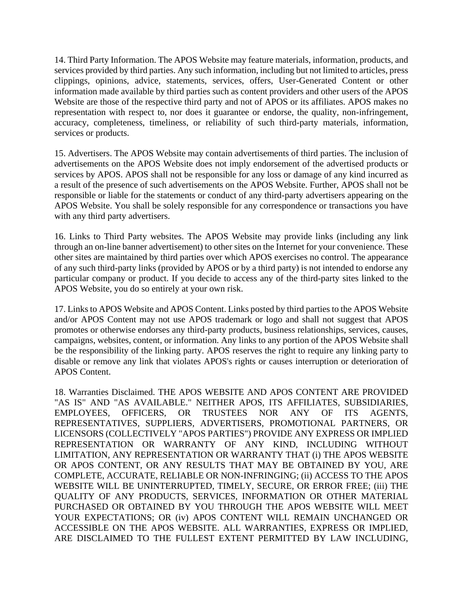14. Third Party Information. The APOS Website may feature materials, information, products, and services provided by third parties. Any such information, including but not limited to articles, press clippings, opinions, advice, statements, services, offers, User-Generated Content or other information made available by third parties such as content providers and other users of the APOS Website are those of the respective third party and not of APOS or its affiliates. APOS makes no representation with respect to, nor does it guarantee or endorse, the quality, non-infringement, accuracy, completeness, timeliness, or reliability of such third-party materials, information, services or products.

15. Advertisers. The APOS Website may contain advertisements of third parties. The inclusion of advertisements on the APOS Website does not imply endorsement of the advertised products or services by APOS. APOS shall not be responsible for any loss or damage of any kind incurred as a result of the presence of such advertisements on the APOS Website. Further, APOS shall not be responsible or liable for the statements or conduct of any third-party advertisers appearing on the APOS Website. You shall be solely responsible for any correspondence or transactions you have with any third party advertisers.

16. Links to Third Party websites. The APOS Website may provide links (including any link through an on-line banner advertisement) to other sites on the Internet for your convenience. These other sites are maintained by third parties over which APOS exercises no control. The appearance of any such third-party links (provided by APOS or by a third party) is not intended to endorse any particular company or product. If you decide to access any of the third-party sites linked to the APOS Website, you do so entirely at your own risk.

17. Links to APOS Website and APOS Content. Links posted by third parties to the APOS Website and/or APOS Content may not use APOS trademark or logo and shall not suggest that APOS promotes or otherwise endorses any third-party products, business relationships, services, causes, campaigns, websites, content, or information. Any links to any portion of the APOS Website shall be the responsibility of the linking party. APOS reserves the right to require any linking party to disable or remove any link that violates APOS's rights or causes interruption or deterioration of APOS Content.

18. Warranties Disclaimed. THE APOS WEBSITE AND APOS CONTENT ARE PROVIDED "AS IS" AND "AS AVAILABLE." NEITHER APOS, ITS AFFILIATES, SUBSIDIARIES, EMPLOYEES, OFFICERS, OR TRUSTEES NOR ANY OF ITS AGENTS, REPRESENTATIVES, SUPPLIERS, ADVERTISERS, PROMOTIONAL PARTNERS, OR LICENSORS (COLLECTIVELY "APOS PARTIES") PROVIDE ANY EXPRESS OR IMPLIED REPRESENTATION OR WARRANTY OF ANY KIND, INCLUDING WITHOUT LIMITATION, ANY REPRESENTATION OR WARRANTY THAT (i) THE APOS WEBSITE OR APOS CONTENT, OR ANY RESULTS THAT MAY BE OBTAINED BY YOU, ARE COMPLETE, ACCURATE, RELIABLE OR NON-INFRINGING; (ii) ACCESS TO THE APOS WEBSITE WILL BE UNINTERRUPTED, TIMELY, SECURE, OR ERROR FREE; (iii) THE QUALITY OF ANY PRODUCTS, SERVICES, INFORMATION OR OTHER MATERIAL PURCHASED OR OBTAINED BY YOU THROUGH THE APOS WEBSITE WILL MEET YOUR EXPECTATIONS; OR (iv) APOS CONTENT WILL REMAIN UNCHANGED OR ACCESSIBLE ON THE APOS WEBSITE. ALL WARRANTIES, EXPRESS OR IMPLIED, ARE DISCLAIMED TO THE FULLEST EXTENT PERMITTED BY LAW INCLUDING,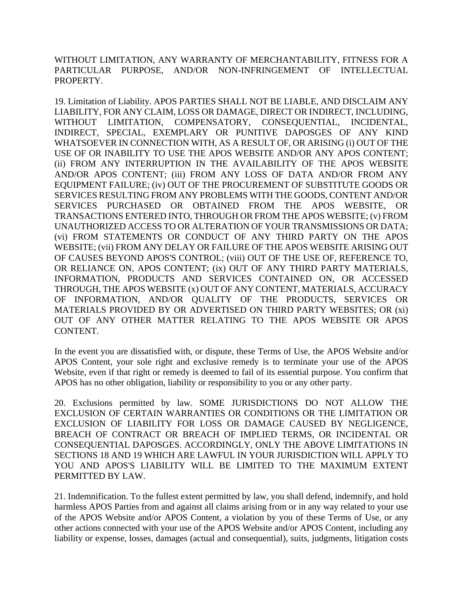WITHOUT LIMITATION, ANY WARRANTY OF MERCHANTABILITY, FITNESS FOR A PARTICULAR PURPOSE, AND/OR NON-INFRINGEMENT OF INTELLECTUAL PROPERTY.

19. Limitation of Liability. APOS PARTIES SHALL NOT BE LIABLE, AND DISCLAIM ANY LIABILITY, FOR ANY CLAIM, LOSS OR DAMAGE, DIRECT OR INDIRECT, INCLUDING, WITHOUT LIMITATION, COMPENSATORY, CONSEQUENTIAL, INCIDENTAL, INDIRECT, SPECIAL, EXEMPLARY OR PUNITIVE DAPOSGES OF ANY KIND WHATSOEVER IN CONNECTION WITH, AS A RESULT OF, OR ARISING (i) OUT OF THE USE OF OR INABILITY TO USE THE APOS WEBSITE AND/OR ANY APOS CONTENT; (ii) FROM ANY INTERRUPTION IN THE AVAILABILITY OF THE APOS WEBSITE AND/OR APOS CONTENT; (iii) FROM ANY LOSS OF DATA AND/OR FROM ANY EQUIPMENT FAILURE; (iv) OUT OF THE PROCUREMENT OF SUBSTITUTE GOODS OR SERVICES RESULTING FROM ANY PROBLEMS WITH THE GOODS, CONTENT AND/OR SERVICES PURCHASED OR OBTAINED FROM THE APOS WEBSITE, OR TRANSACTIONS ENTERED INTO, THROUGH OR FROM THE APOS WEBSITE; (v) FROM UNAUTHORIZED ACCESS TO OR ALTERATION OF YOUR TRANSMISSIONS OR DATA; (vi) FROM STATEMENTS OR CONDUCT OF ANY THIRD PARTY ON THE APOS WEBSITE; (vii) FROM ANY DELAY OR FAILURE OF THE APOS WEBSITE ARISING OUT OF CAUSES BEYOND APOS'S CONTROL; (viii) OUT OF THE USE OF, REFERENCE TO, OR RELIANCE ON, APOS CONTENT; (ix) OUT OF ANY THIRD PARTY MATERIALS, INFORMATION, PRODUCTS AND SERVICES CONTAINED ON, OR ACCESSED THROUGH, THE APOS WEBSITE (x) OUT OF ANY CONTENT, MATERIALS, ACCURACY OF INFORMATION, AND/OR QUALITY OF THE PRODUCTS, SERVICES OR MATERIALS PROVIDED BY OR ADVERTISED ON THIRD PARTY WEBSITES; OR (xi) OUT OF ANY OTHER MATTER RELATING TO THE APOS WEBSITE OR APOS CONTENT.

In the event you are dissatisfied with, or dispute, these Terms of Use, the APOS Website and/or APOS Content, your sole right and exclusive remedy is to terminate your use of the APOS Website, even if that right or remedy is deemed to fail of its essential purpose. You confirm that APOS has no other obligation, liability or responsibility to you or any other party.

20. Exclusions permitted by law. SOME JURISDICTIONS DO NOT ALLOW THE EXCLUSION OF CERTAIN WARRANTIES OR CONDITIONS OR THE LIMITATION OR EXCLUSION OF LIABILITY FOR LOSS OR DAMAGE CAUSED BY NEGLIGENCE, BREACH OF CONTRACT OR BREACH OF IMPLIED TERMS, OR INCIDENTAL OR CONSEQUENTIAL DAPOSGES. ACCORDINGLY, ONLY THE ABOVE LIMITATIONS IN SECTIONS 18 AND 19 WHICH ARE LAWFUL IN YOUR JURISDICTION WILL APPLY TO YOU AND APOS'S LIABILITY WILL BE LIMITED TO THE MAXIMUM EXTENT PERMITTED BY LAW.

21. Indemnification. To the fullest extent permitted by law, you shall defend, indemnify, and hold harmless APOS Parties from and against all claims arising from or in any way related to your use of the APOS Website and/or APOS Content, a violation by you of these Terms of Use, or any other actions connected with your use of the APOS Website and/or APOS Content, including any liability or expense, losses, damages (actual and consequential), suits, judgments, litigation costs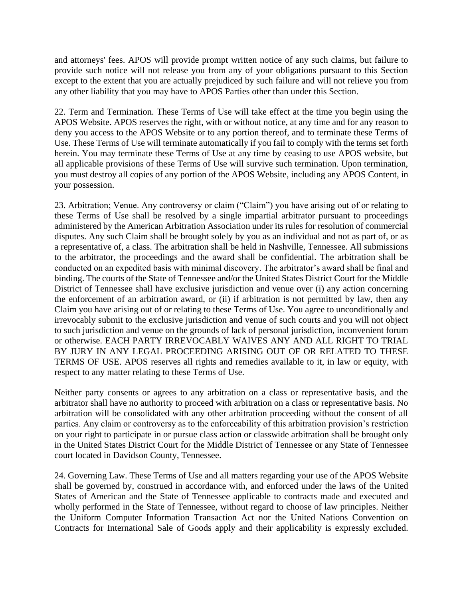and attorneys' fees. APOS will provide prompt written notice of any such claims, but failure to provide such notice will not release you from any of your obligations pursuant to this Section except to the extent that you are actually prejudiced by such failure and will not relieve you from any other liability that you may have to APOS Parties other than under this Section.

22. Term and Termination. These Terms of Use will take effect at the time you begin using the APOS Website. APOS reserves the right, with or without notice, at any time and for any reason to deny you access to the APOS Website or to any portion thereof, and to terminate these Terms of Use. These Terms of Use will terminate automatically if you fail to comply with the terms set forth herein. You may terminate these Terms of Use at any time by ceasing to use APOS website, but all applicable provisions of these Terms of Use will survive such termination. Upon termination, you must destroy all copies of any portion of the APOS Website, including any APOS Content, in your possession.

23. Arbitration; Venue. Any controversy or claim ("Claim") you have arising out of or relating to these Terms of Use shall be resolved by a single impartial arbitrator pursuant to proceedings administered by the American Arbitration Association under its rules for resolution of commercial disputes. Any such Claim shall be brought solely by you as an individual and not as part of, or as a representative of, a class. The arbitration shall be held in Nashville, Tennessee. All submissions to the arbitrator, the proceedings and the award shall be confidential. The arbitration shall be conducted on an expedited basis with minimal discovery. The arbitrator's award shall be final and binding. The courts of the State of Tennessee and/or the United States District Court for the Middle District of Tennessee shall have exclusive jurisdiction and venue over (i) any action concerning the enforcement of an arbitration award, or (ii) if arbitration is not permitted by law, then any Claim you have arising out of or relating to these Terms of Use. You agree to unconditionally and irrevocably submit to the exclusive jurisdiction and venue of such courts and you will not object to such jurisdiction and venue on the grounds of lack of personal jurisdiction, inconvenient forum or otherwise. EACH PARTY IRREVOCABLY WAIVES ANY AND ALL RIGHT TO TRIAL BY JURY IN ANY LEGAL PROCEEDING ARISING OUT OF OR RELATED TO THESE TERMS OF USE. APOS reserves all rights and remedies available to it, in law or equity, with respect to any matter relating to these Terms of Use.

Neither party consents or agrees to any arbitration on a class or representative basis, and the arbitrator shall have no authority to proceed with arbitration on a class or representative basis. No arbitration will be consolidated with any other arbitration proceeding without the consent of all parties. Any claim or controversy as to the enforceability of this arbitration provision's restriction on your right to participate in or pursue class action or classwide arbitration shall be brought only in the United States District Court for the Middle District of Tennessee or any State of Tennessee court located in Davidson County, Tennessee.

24. Governing Law. These Terms of Use and all matters regarding your use of the APOS Website shall be governed by, construed in accordance with, and enforced under the laws of the United States of American and the State of Tennessee applicable to contracts made and executed and wholly performed in the State of Tennessee, without regard to choose of law principles. Neither the Uniform Computer Information Transaction Act nor the United Nations Convention on Contracts for International Sale of Goods apply and their applicability is expressly excluded.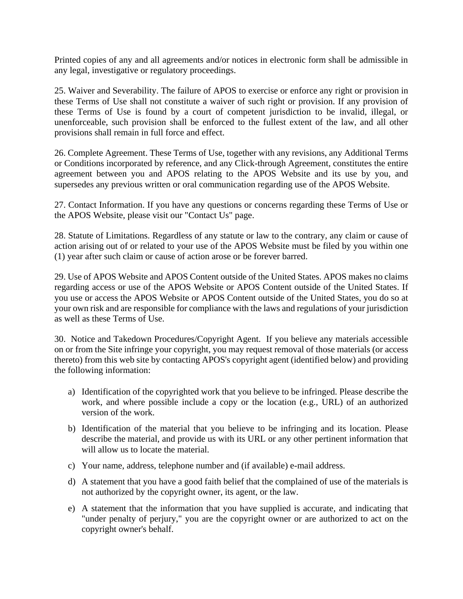Printed copies of any and all agreements and/or notices in electronic form shall be admissible in any legal, investigative or regulatory proceedings.

25. Waiver and Severability. The failure of APOS to exercise or enforce any right or provision in these Terms of Use shall not constitute a waiver of such right or provision. If any provision of these Terms of Use is found by a court of competent jurisdiction to be invalid, illegal, or unenforceable, such provision shall be enforced to the fullest extent of the law, and all other provisions shall remain in full force and effect.

26. Complete Agreement. These Terms of Use, together with any revisions, any Additional Terms or Conditions incorporated by reference, and any Click-through Agreement, constitutes the entire agreement between you and APOS relating to the APOS Website and its use by you, and supersedes any previous written or oral communication regarding use of the APOS Website.

27. Contact Information. If you have any questions or concerns regarding these Terms of Use or the APOS Website, please visit our "Contact Us" page.

28. Statute of Limitations. Regardless of any statute or law to the contrary, any claim or cause of action arising out of or related to your use of the APOS Website must be filed by you within one (1) year after such claim or cause of action arose or be forever barred.

29. Use of APOS Website and APOS Content outside of the United States. APOS makes no claims regarding access or use of the APOS Website or APOS Content outside of the United States. If you use or access the APOS Website or APOS Content outside of the United States, you do so at your own risk and are responsible for compliance with the laws and regulations of your jurisdiction as well as these Terms of Use.

30. Notice and Takedown Procedures/Copyright Agent. If you believe any materials accessible on or from the Site infringe your copyright, you may request removal of those materials (or access thereto) from this web site by contacting APOS's copyright agent (identified below) and providing the following information:

- a) Identification of the copyrighted work that you believe to be infringed. Please describe the work, and where possible include a copy or the location (e.g., URL) of an authorized version of the work.
- b) Identification of the material that you believe to be infringing and its location. Please describe the material, and provide us with its URL or any other pertinent information that will allow us to locate the material.
- c) Your name, address, telephone number and (if available) e-mail address.
- d) A statement that you have a good faith belief that the complained of use of the materials is not authorized by the copyright owner, its agent, or the law.
- e) A statement that the information that you have supplied is accurate, and indicating that "under penalty of perjury," you are the copyright owner or are authorized to act on the copyright owner's behalf.